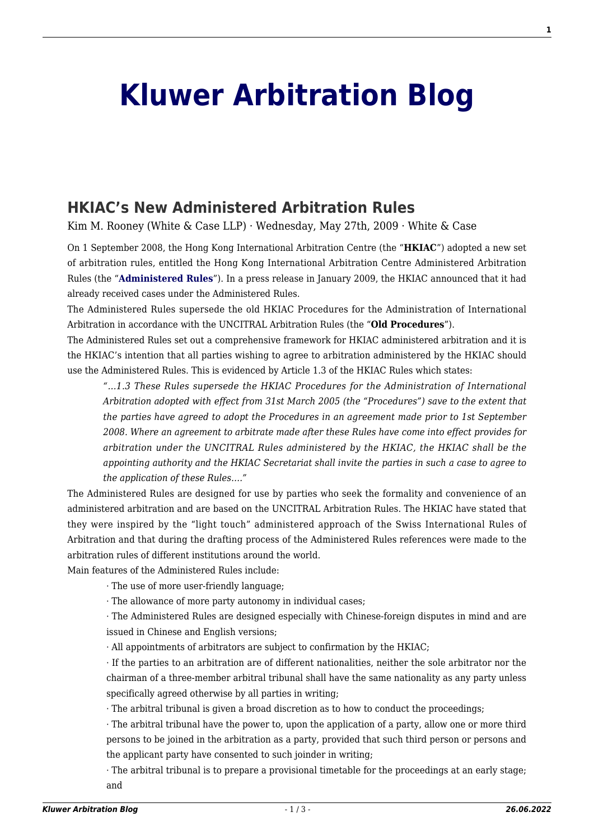## **[Kluwer Arbitration Blog](http://arbitrationblog.kluwerarbitration.com/)**

## **[HKIAC's New Administered Arbitration Rules](http://arbitrationblog.kluwerarbitration.com/2009/05/27/hkiacs-new-administered-arbitration-rules/)**

Kim M. Rooney (White  $\&$  Case LLP)  $\cdot$  Wednesday, May 27th, 2009  $\cdot$  White  $\&$  Case

On 1 September 2008, the Hong Kong International Arbitration Centre (the "**HKIAC**") adopted a new set of arbitration rules, entitled the Hong Kong International Arbitration Centre Administered Arbitration Rules (the "**[Administered Rules](http://www.hkiac.org/HKIAC/pdf/Rules/AA%20Rules.pdf)**"). In a press release in January 2009, the HKIAC announced that it had already received cases under the Administered Rules.

The Administered Rules supersede the old HKIAC Procedures for the Administration of International Arbitration in accordance with the UNCITRAL Arbitration Rules (the "**Old Procedures**").

The Administered Rules set out a comprehensive framework for HKIAC administered arbitration and it is the HKIAC's intention that all parties wishing to agree to arbitration administered by the HKIAC should use the Administered Rules. This is evidenced by Article 1.3 of the HKIAC Rules which states:

*"…1.3 These Rules supersede the HKIAC Procedures for the Administration of International Arbitration adopted with effect from 31st March 2005 (the "Procedures") save to the extent that the parties have agreed to adopt the Procedures in an agreement made prior to 1st September 2008. Where an agreement to arbitrate made after these Rules have come into effect provides for arbitration under the UNCITRAL Rules administered by the HKIAC, the HKIAC shall be the appointing authority and the HKIAC Secretariat shall invite the parties in such a case to agree to the application of these Rules…."*

The Administered Rules are designed for use by parties who seek the formality and convenience of an administered arbitration and are based on the UNCITRAL Arbitration Rules. The HKIAC have stated that they were inspired by the "light touch" administered approach of the Swiss International Rules of Arbitration and that during the drafting process of the Administered Rules references were made to the arbitration rules of different institutions around the world.

Main features of the Administered Rules include:

· The use of more user-friendly language;

· The allowance of more party autonomy in individual cases;

· The Administered Rules are designed especially with Chinese-foreign disputes in mind and are issued in Chinese and English versions;

· All appointments of arbitrators are subject to confirmation by the HKIAC;

· If the parties to an arbitration are of different nationalities, neither the sole arbitrator nor the chairman of a three-member arbitral tribunal shall have the same nationality as any party unless specifically agreed otherwise by all parties in writing;

· The arbitral tribunal is given a broad discretion as to how to conduct the proceedings;

· The arbitral tribunal have the power to, upon the application of a party, allow one or more third persons to be joined in the arbitration as a party, provided that such third person or persons and the applicant party have consented to such joinder in writing;

· The arbitral tribunal is to prepare a provisional timetable for the proceedings at an early stage; and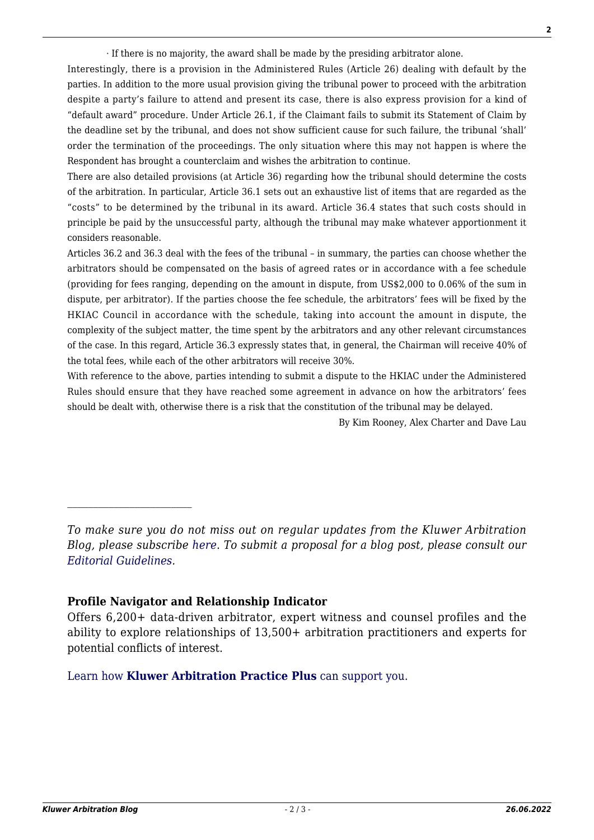· If there is no majority, the award shall be made by the presiding arbitrator alone.

Interestingly, there is a provision in the Administered Rules (Article 26) dealing with default by the parties. In addition to the more usual provision giving the tribunal power to proceed with the arbitration despite a party's failure to attend and present its case, there is also express provision for a kind of "default award" procedure. Under Article 26.1, if the Claimant fails to submit its Statement of Claim by the deadline set by the tribunal, and does not show sufficient cause for such failure, the tribunal 'shall' order the termination of the proceedings. The only situation where this may not happen is where the Respondent has brought a counterclaim and wishes the arbitration to continue.

There are also detailed provisions (at Article 36) regarding how the tribunal should determine the costs of the arbitration. In particular, Article 36.1 sets out an exhaustive list of items that are regarded as the "costs" to be determined by the tribunal in its award. Article 36.4 states that such costs should in principle be paid by the unsuccessful party, although the tribunal may make whatever apportionment it considers reasonable.

Articles 36.2 and 36.3 deal with the fees of the tribunal – in summary, the parties can choose whether the arbitrators should be compensated on the basis of agreed rates or in accordance with a fee schedule (providing for fees ranging, depending on the amount in dispute, from US\$2,000 to 0.06% of the sum in dispute, per arbitrator). If the parties choose the fee schedule, the arbitrators' fees will be fixed by the HKIAC Council in accordance with the schedule, taking into account the amount in dispute, the complexity of the subject matter, the time spent by the arbitrators and any other relevant circumstances of the case. In this regard, Article 36.3 expressly states that, in general, the Chairman will receive 40% of the total fees, while each of the other arbitrators will receive 30%.

With reference to the above, parties intending to submit a dispute to the HKIAC under the Administered Rules should ensure that they have reached some agreement in advance on how the arbitrators' fees should be dealt with, otherwise there is a risk that the constitution of the tribunal may be delayed.

By Kim Rooney, Alex Charter and Dave Lau

*To make sure you do not miss out on regular updates from the Kluwer Arbitration Blog, please subscribe [here](http://arbitrationblog.kluwerarbitration.com/newsletter/). To submit a proposal for a blog post, please consult our [Editorial Guidelines.](http://arbitrationblog.kluwerarbitration.com/editorial-guidelines/)*

## **Profile Navigator and Relationship Indicator**

Offers 6,200+ data-driven arbitrator, expert witness and counsel profiles and the ability to explore relationships of 13,500+ arbitration practitioners and experts for potential conflicts of interest.

[Learn how](https://www.wolterskluwer.com/en/solutions/kluwerarbitration/practiceplus?utm_source=arbitrationblog&utm_medium=articleCTA&utm_campaign=article-banner) **[Kluwer Arbitration Practice Plus](https://www.wolterskluwer.com/en/solutions/kluwerarbitration/practiceplus?utm_source=arbitrationblog&utm_medium=articleCTA&utm_campaign=article-banner)** [can support you.](https://www.wolterskluwer.com/en/solutions/kluwerarbitration/practiceplus?utm_source=arbitrationblog&utm_medium=articleCTA&utm_campaign=article-banner)